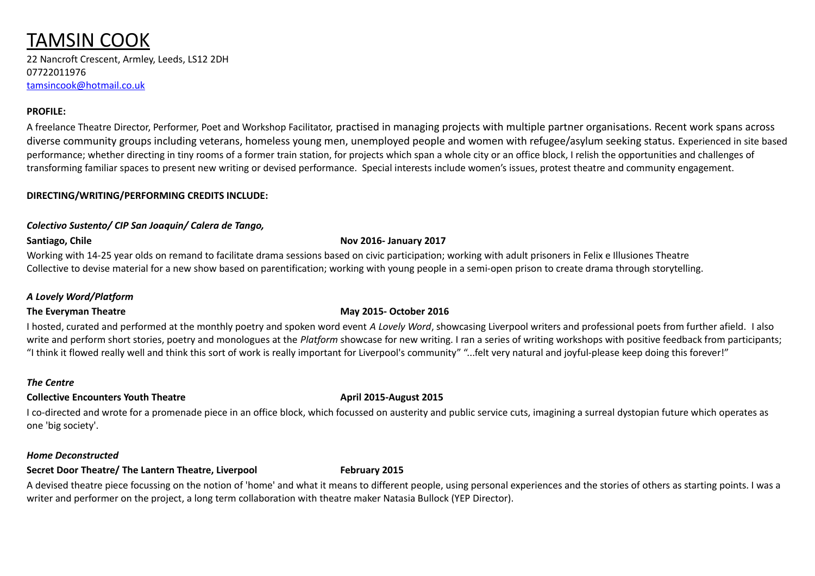# TAMSIN COOK

22 Nancroft Crescent, Armley, Leeds, LS12 2DH 07722011976 [tamsincook@hotmail.co.uk](mailto:tamsincook@hotmail.co.uk)

# **PROFILE:**

A freelance Theatre Director, Performer, Poet and Workshop Facilitator, practised in managing projects with multiple partner organisations. Recent work spans across diverse community groups including veterans, homeless young men, unemployed people and women with refugee/asylum seeking status. Experienced in site based performance; whether directing in tiny rooms of a former train station, for projects which span a whole city or an office block, I relish the opportunities and challenges of transforming familiar spaces to present new writing or devised performance. Special interests include women's issues, protest theatre and community engagement.

### **DIRECTING/WRITING/PERFORMING CREDITS INCLUDE:**

### *Colectivo Sustento/ CIP San Joaquin/ Calera de Tango,*

#### **Santiago, Chile Nov 2016- January 2017**

Working with 14-25 year olds on remand to facilitate drama sessions based on civic participation; working with adult prisoners in Felix e Illusiones Theatre Collective to devise material for a new show based on parentification; working with young people in a semi-open prison to create drama through storytelling.

# *A Lovely Word/Platform*

# **The Everyman Theatre May 2015- October 2016**

I hosted, curated and performed at the monthly poetry and spoken word event *A Lovely Word*, showcasing Liverpool writers and professional poets from further afield. I also write and perform short stories, poetry and monologues at the *Platform* showcase for new writing. I ran a series of writing workshops with positive feedback from participants; "I think it flowed really well and think this sort of work is really important for Liverpool's community" "...felt very natural and joyful-please keep doing this forever!"

#### *The Centre*

# **Collective Encounters Youth Theatre <b>April 2015-August 2015**

I co-directed and wrote for a promenade piece in an office block, which focussed on austerity and public service cuts, imagining a surreal dystopian future which operates as one 'big society'.

#### *Home Deconstructed*

# **Secret Door Theatre/ The Lantern Theatre, Liverpool February 2015**

A devised theatre piece focussing on the notion of 'home' and what it means to different people, using personal experiences and the stories of others as starting points. I was a writer and performer on the project, a long term collaboration with theatre maker Natasia Bullock (YEP Director).